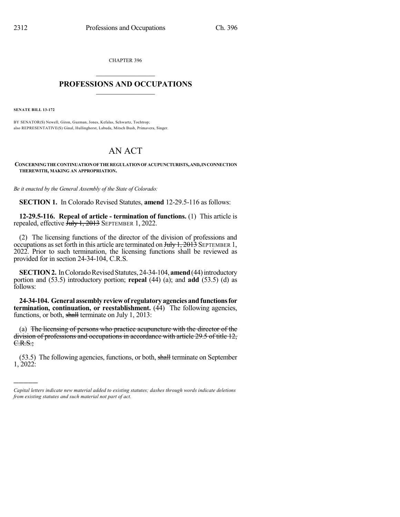CHAPTER 396  $\mathcal{L}_\text{max}$  . The set of the set of the set of the set of the set of the set of the set of the set of the set of the set of the set of the set of the set of the set of the set of the set of the set of the set of the set

## **PROFESSIONS AND OCCUPATIONS**  $\frac{1}{2}$  ,  $\frac{1}{2}$  ,  $\frac{1}{2}$  ,  $\frac{1}{2}$  ,  $\frac{1}{2}$  ,  $\frac{1}{2}$

**SENATE BILL 13-172**

)))))

BY SENATOR(S) Newell, Giron, Guzman, Jones, Kefalas, Schwartz, Tochtrop; also REPRESENTATIVE(S) Ginal, Hullinghorst, Labuda, Mitsch Bush, Primavera, Singer.

## AN ACT

**CONCERNINGTHE CONTINUATIONOF THE REGULATIONOF ACUPUNCTURISTS,AND,INCONNECTION THEREWITH, MAKING AN APPROPRIATION.**

*Be it enacted by the General Assembly of the State of Colorado:*

**SECTION 1.** In Colorado Revised Statutes, **amend** 12-29.5-116 as follows:

**12-29.5-116. Repeal of article - termination of functions.** (1) This article is repealed, effective  $\frac{\hat{J}}{\text{uly}}$  1, 2013 SEPTEMBER 1, 2022.

(2) The licensing functions of the director of the division of professions and occupations as set forth in this article are terminated on  $\frac{\text{H}_y}{1,2013}$  SEPTEMBER 1, 2022. Prior to such termination, the licensing functions shall be reviewed as provided for in section 24-34-104, C.R.S.

**SECTION 2.** In Colorado Revised Statutes, 24-34-104, **amend** (44) introductory portion and (53.5) introductory portion; **repeal** (44) (a); and **add** (53.5) (d) as follows:

**24-34-104. General assemblyreviewof regulatoryagenciesandfunctionsfor termination, continuation, or reestablishment.** (44) The following agencies, functions, or both, shall terminate on July 1, 2013:

(a) The licensing of persons who practice acupuncture with the director of the division of professions and occupations in accordance with article 29.5 of title 12, C.R.S.;

(53.5) The following agencies, functions, or both, shall terminate on September 1, 2022:

*Capital letters indicate new material added to existing statutes; dashes through words indicate deletions from existing statutes and such material not part of act.*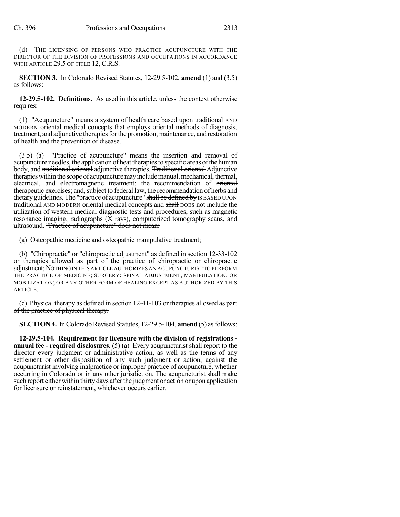(d) THE LICENSING OF PERSONS WHO PRACTICE ACUPUNCTURE WITH THE DIRECTOR OF THE DIVISION OF PROFESSIONS AND OCCUPATIONS IN ACCORDANCE WITH ARTICLE 29.5 OF TITLE 12, C.R.S.

**SECTION 3.** In Colorado Revised Statutes, 12-29.5-102, **amend** (1) and (3.5) as follows:

**12-29.5-102. Definitions.** As used in this article, unless the context otherwise requires:

(1) "Acupuncture" means a system of health care based upon traditional AND MODERN oriental medical concepts that employs oriental methods of diagnosis, treatment, and adjunctive therapiesforthe promotion, maintenance, and restoration of health and the prevention of disease.

(3.5) (a) "Practice of acupuncture" means the insertion and removal of acupuncture needles, the application of heat therapiesto specific areas ofthe human body, and traditional oriental adjunctive therapies. Traditional oriental Adjunctive therapies within the scope of acupuncture may include manual, mechanical, thermal, electrical, and electromagnetic treatment; the recommendation of oriental therapeutic exercises; and, subject to federal law, the recommendation of herbs and dietary guidelines. The "practice of acupuncture" shall be defined by IS BASED UPON traditional AND MODERN oriental medical concepts and shall DOES not include the utilization of western medical diagnostic tests and procedures, such as magnetic resonance imaging, radiographs  $(X \text{ rays})$ , computerized tomography scans, and ultrasound. "Practice of acupuncture" does not mean:

(a) Osteopathic medicine and osteopathic manipulative treatment;

(b) "Chiropractic" or "chiropractic adjustment" as defined in section 12-33-102 or therapies allowed as part of the practice of chiropractic or chiropractic adjustment; NOTHING IN THIS ARTICLE AUTHORIZES AN ACUPUNCTURIST TO PERFORM THE PRACTICE OF MEDICINE; SURGERY; SPINAL ADJUSTMENT, MANIPULATION, OR MOBILIZATION; OR ANY OTHER FORM OF HEALING EXCEPT AS AUTHORIZED BY THIS ARTICLE.

(c) Physical therapy as defined in section 12-41-103 or therapies allowed as part of the practice of physical therapy.

**SECTION 4.** In Colorado Revised Statutes, 12-29.5-104, **amend** (5) as follows:

**12-29.5-104. Requirement for licensure with the division of registrations annual fee - required disclosures.** (5) (a) Every acupuncturist shall report to the director every judgment or administrative action, as well as the terms of any settlement or other disposition of any such judgment or action, against the acupuncturist involving malpractice or improper practice of acupuncture, whether occurring in Colorado or in any other jurisdiction. The acupuncturist shall make such report either within thirtydays afterthe judgment or action or upon application for licensure or reinstatement, whichever occurs earlier.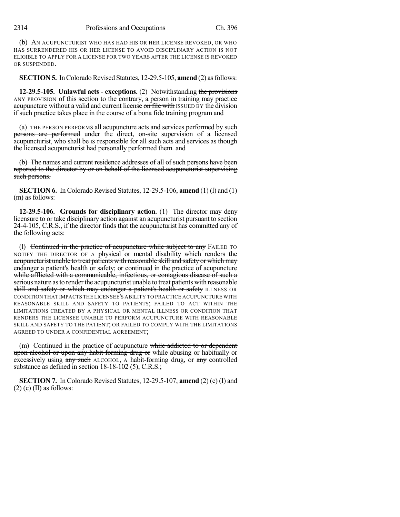(b) AN ACUPUNCTURIST WHO HAS HAD HIS OR HER LICENSE REVOKED, OR WHO HAS SURRENDERED HIS OR HER LICENSE TO AVOID DISCIPLINARY ACTION IS NOT ELIGIBLE TO APPLY FOR A LICENSE FOR TWO YEARS AFTER THE LICENSE IS REVOKED OR SUSPENDED.

**SECTION 5.** In Colorado Revised Statutes, 12-29.5-105, **amend** (2) as follows:

**12-29.5-105. Unlawful acts - exceptions.** (2) Notwithstanding the provisions ANY PROVISION of this section to the contrary, a person in training may practice acupuncture without a valid and current license on file with ISSUED BY the division if such practice takes place in the course of a bona fide training program and

 $(a)$  THE PERSON PERFORMS all acupuncture acts and services performed by such persons are performed under the direct, on-site supervision of a licensed acupuncturist, who shall be IS responsible for all such acts and services as though the licensed acupuncturist had personally performed them. and

(b) The names and current residence addresses of all of such persons have been reported to the director by or on behalf of the licensed acupuncturist supervising such persons.

**SECTION 6.** In Colorado Revised Statutes, 12-29.5-106, **amend** (1) (l) and (1) (m) as follows:

**12-29.5-106. Grounds for disciplinary action.** (1) The director may deny licensure to or take disciplinary action against an acupuncturist pursuant to section 24-4-105, C.R.S., if the director finds that the acupuncturist has committed any of the following acts:

(I) Continued in the practice of acupuncture while subject to any FAILED TO NOTIFY THE DIRECTOR OF A physical or mental disability which renders the acupuncturist unable to treat patients with reasonable skill and safety or which may endanger a patient's health or safety; or continued in the practice of acupuncture while afflicted with a communicable, infectious, or contagious disease of such a serious nature asto renderthe acupuncturist unable to treat patients with reasonable skill and safety or which may endanger a patient's health or safety ILLNESS OR CONDITION THAT IMPACTS THE LICENSEE'S ABILITY TO PRACTICE ACUPUNCTURE WITH REASONABLE SKILL AND SAFETY TO PATIENTS; FAILED TO ACT WITHIN THE LIMITATIONS CREATED BY A PHYSICAL OR MENTAL ILLNESS OR CONDITION THAT RENDERS THE LICENSEE UNABLE TO PERFORM ACUPUNCTURE WITH REASONABLE SKILL AND SAFETY TO THE PATIENT; OR FAILED TO COMPLY WITH THE LIMITATIONS AGREED TO UNDER A CONFIDENTIAL AGREEMENT;

(m) Continued in the practice of acupuncture while addicted to or dependent upon alcohol or upon any habit-forming drug or while abusing or habitually or excessively using  $\frac{any \cdot such}$  ALCOHOL, A habit-forming drug, or  $\frac{any}{any}$  controlled substance as defined in section 18-18-102 (5), C.R.S.;

**SECTION 7.** In Colorado Revised Statutes, 12-29.5-107, **amend** (2) (c) (I) and  $(2)$  (c) (II) as follows: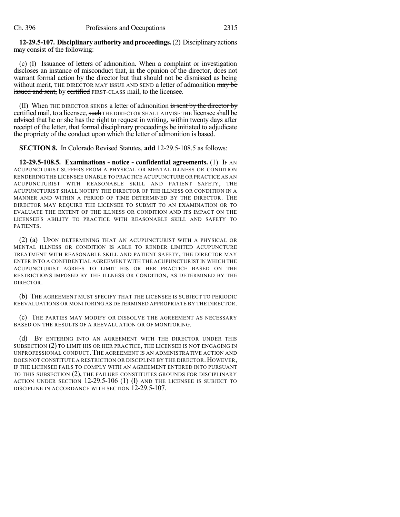**12-29.5-107. Disciplinary authority andproceedings.**(2) Disciplinaryactions may consist of the following:

(c) (I) Issuance of letters of admonition. When a complaint or investigation discloses an instance of misconduct that, in the opinion of the director, does not warrant formal action by the director but that should not be dismissed as being without merit, THE DIRECTOR MAY ISSUE AND SEND a letter of admonition may be issued and sent, by certified FIRST-CLASS mail, to the licensee.

(II) When THE DIRECTOR SENDS a letter of admonition is sent by the director by certified mail, to a licensee, such THE DIRECTOR SHALL ADVISE THE licensee shall be advised that he or she has the right to request in writing, within twenty days after receipt of the letter, that formal disciplinary proceedings be initiated to adjudicate the propriety of the conduct upon which the letter of admonition is based.

**SECTION 8.** In Colorado Revised Statutes, **add** 12-29.5-108.5 as follows:

**12-29.5-108.5. Examinations - notice - confidential agreements.** (1) IF AN ACUPUNCTURIST SUFFERS FROM A PHYSICAL OR MENTAL ILLNESS OR CONDITION RENDERING THE LICENSEE UNABLE TO PRACTICE ACUPUNCTURE OR PRACTICE AS AN ACUPUNCTURIST WITH REASONABLE SKILL AND PATIENT SAFETY, THE ACUPUNCTURIST SHALL NOTIFY THE DIRECTOR OF THE ILLNESS OR CONDITION IN A MANNER AND WITHIN A PERIOD OF TIME DETERMINED BY THE DIRECTOR. THE DIRECTOR MAY REQUIRE THE LICENSEE TO SUBMIT TO AN EXAMINATION OR TO EVALUATE THE EXTENT OF THE ILLNESS OR CONDITION AND ITS IMPACT ON THE LICENSEE'S ABILITY TO PRACTICE WITH REASONABLE SKILL AND SAFETY TO PATIENTS.

(2) (a) UPON DETERMINING THAT AN ACUPUNCTURIST WITH A PHYSICAL OR MENTAL ILLNESS OR CONDITION IS ABLE TO RENDER LIMITED ACUPUNCTURE TREATMENT WITH REASONABLE SKILL AND PATIENT SAFETY, THE DIRECTOR MAY ENTER INTO A CONFIDENTIAL AGREEMENT WITH THE ACUPUNCTURIST IN WHICH THE ACUPUNCTURIST AGREES TO LIMIT HIS OR HER PRACTICE BASED ON THE RESTRICTIONS IMPOSED BY THE ILLNESS OR CONDITION, AS DETERMINED BY THE DIRECTOR.

(b) THE AGREEMENT MUST SPECIFY THAT THE LICENSEE IS SUBJECT TO PERIODIC REEVALUATIONS OR MONITORING AS DETERMINED APPROPRIATE BY THE DIRECTOR.

(c) THE PARTIES MAY MODIFY OR DISSOLVE THE AGREEMENT AS NECESSARY BASED ON THE RESULTS OF A REEVALUATION OR OF MONITORING.

(d) BY ENTERING INTO AN AGREEMENT WITH THE DIRECTOR UNDER THIS SUBSECTION (2) TO LIMIT HIS OR HER PRACTICE, THE LICENSEE IS NOT ENGAGING IN UNPROFESSIONAL CONDUCT. THE AGREEMENT IS AN ADMINISTRATIVE ACTION AND DOES NOT CONSTITUTE A RESTRICTION OR DISCIPLINE BY THE DIRECTOR.HOWEVER, IF THE LICENSEE FAILS TO COMPLY WITH AN AGREEMENT ENTERED INTO PURSUANT TO THIS SUBSECTION (2), THE FAILURE CONSTITUTES GROUNDS FOR DISCIPLINARY ACTION UNDER SECTION 12-29.5-106 (1) (1) AND THE LICENSEE IS SUBJECT TO DISCIPLINE IN ACCORDANCE WITH SECTION 12-29.5-107.